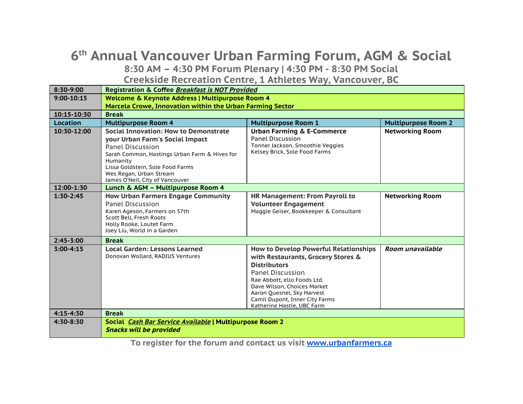# **6thAnnual Vancouver Urban Farming Forum, AGM & Social 8:30 AM – 4:30 PM Forum Plenary | 4:30 PM - 8:30 PM Social**

**Creekside Recreation Centre, 1 Athletes Way, Vancouver, BC**

| $8:30-9:00$    | <b>Registration &amp; Coffee Breakfast is NOT Provided</b>                                                                                                                                                                                                                |                                                                                                                                                                                                                                                                                                  |                            |
|----------------|---------------------------------------------------------------------------------------------------------------------------------------------------------------------------------------------------------------------------------------------------------------------------|--------------------------------------------------------------------------------------------------------------------------------------------------------------------------------------------------------------------------------------------------------------------------------------------------|----------------------------|
| $9:00 - 10:15$ | Welcome & Keynote Address   Multipurpose Room 4                                                                                                                                                                                                                           |                                                                                                                                                                                                                                                                                                  |                            |
|                | Marcela Crowe, Innovation within the Urban Farming Sector                                                                                                                                                                                                                 |                                                                                                                                                                                                                                                                                                  |                            |
| 10:15-10:30    | <b>Break</b>                                                                                                                                                                                                                                                              |                                                                                                                                                                                                                                                                                                  |                            |
| Location       | <b>Multipurpose Room 4</b>                                                                                                                                                                                                                                                | <b>Multipurpose Room 1</b>                                                                                                                                                                                                                                                                       | <b>Multipurpose Room 2</b> |
| 10:30-12:00    | <b>Social Innovation: How to Demonstrate</b><br>your Urban Farm's Social Impact<br><b>Panel Discussion</b><br>Sarah Common, Hastings Urban Farm & Hives for<br>Humanity<br>Lissa Goldstein, Sole Food Farms<br>Wes Regan, Urban Stream<br>James O'Neil, City of Vancouver | <b>Urban Farming &amp; E-Commerce</b><br><b>Panel Discussion</b><br>Tonner Jackson, Smoothie Veggies<br>Kelsey Brick, Sole Food Farms                                                                                                                                                            | <b>Networking Room</b>     |
| 12:00-1:30     | Lunch & AGM - Multipurpose Room 4                                                                                                                                                                                                                                         |                                                                                                                                                                                                                                                                                                  |                            |
| $1:30-2:45$    | <b>How Urban Farmers Engage Community</b><br><b>Panel Discussion</b><br>Karen Ageson, Farmers on 57th<br>Scott Bell, Fresh Roots<br>Holly Rooke, Loutet Farm<br>Joey Liu, World in a Garden                                                                               | HR Management: From Payroll to<br><b>Volunteer Engagement</b><br>Maggie Geiser, Bookkeeper & Consultant                                                                                                                                                                                          | <b>Networking Room</b>     |
| $2:45 - 3:00$  | <b>Break</b>                                                                                                                                                                                                                                                              |                                                                                                                                                                                                                                                                                                  |                            |
| $3:00 - 4:15$  | <b>Local Garden: Lessons Learned</b><br>Donovan Wollard, RADIUS Ventures                                                                                                                                                                                                  | <b>How to Develop Powerful Relationships</b><br>with Restaurants, Grocery Stores &<br><b>Distributors</b><br><b>Panel Discussion</b><br>Rae Abbott, ello Foods Ltd.<br>Dave Wilson, Choices Market<br>Aaron Quesnel, Sky Harvest<br>Camil Dupont, Inner City Farms<br>Katherine Hastie, UBC Farm | Room unavailable           |
| $4:15 - 4:30$  | <b>Break</b>                                                                                                                                                                                                                                                              |                                                                                                                                                                                                                                                                                                  |                            |
| $4:30 - 8:30$  | Social Cash Bar Service Available   Multipurpose Room 2<br><b>Snacks will be provided</b>                                                                                                                                                                                 |                                                                                                                                                                                                                                                                                                  |                            |

**To register for the forum and contact us visit[www.urbanfarmers.ca](http://www.urbanfarmers.ca/)**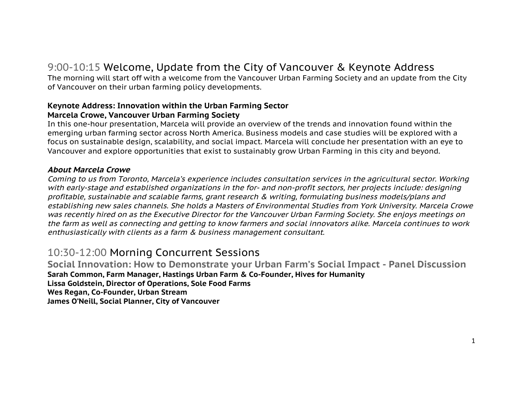# 9:00-10:15 Welcome, Update from the City of Vancouver & Keynote Address

The morning will start off with a welcome from the Vancouver Urban Farming Society and an update from the City of Vancouver on their urban farming policy developments.

### **Keynote Address: Innovation within the Urban Farming Sector Marcela Crowe, Vancouver Urban Farming Society**

In this one-hour presentation, Marcela will provide an overview of the trends and innovation found within the emerging urban farming sector across North America. Business models and case studies will be explored with a focus on sustainable design, scalability, and social impact. Marcela will conclude her presentation with an eye to Vancouver and explore opportunities that exist to sustainably grow Urban Farming in this city and beyond.

### **About Marcela Crowe**

Coming to us from Toronto, Marcela's experience includes consultation services in the agricultural sector. Working with early-stage and established organizations in the for- and non-profit sectors, her projects include: designing profitable, sustainable and scalable farms, grant research & writing, formulating business models/plans and establishing new sales channels. She holds <sup>a</sup> Masters of Environmental Studies from York University. Marcela Crowe was recently hired on as the Executive Director for the Vancouver Urban Farming Society. She enjoys meetings on the farm as well as connecting and getting to know farmers and social innovators alike. Marcela continues to work enthusiastically with clients as <sup>a</sup> farm & business management consultant.

## 10:30-12:00 Morning Concurrent Sessions

**Social Innovation: How to Demonstrate your Urban Farm's Social Impact - Panel Discussion Sarah Common, Farm Manager, Hastings Urban Farm & Co-Founder, Hives for Humanity Lissa Goldstein, Director of Operations, Sole Food Farms Wes Regan, Co-Founder, Urban Stream James O'Neill, Social Planner, City of Vancouver**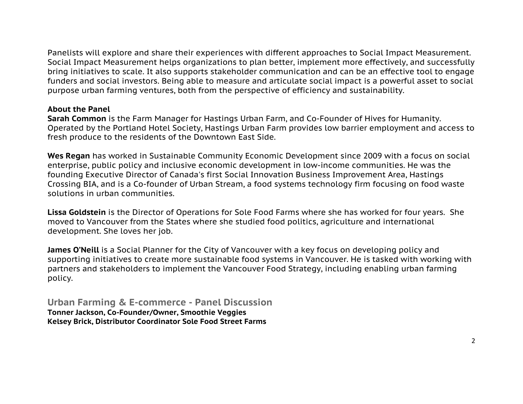Panelists will explore and share their experiences with different approaches to Social Impact Measurement. Social Impact Measurement helps organizations to plan better, implement more effectively, and successfully bring initiatives to scale. It also supports stakeholder communication and can be an effective tool to engage funders and social investors. Being able to measure and articulate social impact is a powerful asset to social purpose urban farming ventures, both from the perspective of efficiency and sustainability.

#### **About the Panel**

**Sarah Common** is the Farm Manager for Hastings Urban Farm, and Co-Founder of Hives for Humanity. Operated by the Portland Hotel Society, Hastings Urban Farm provides low barrier employment and access to fresh produce to the residents of the Downtown East Side.

**Wes Regan**has worked in Sustainable Community Economic Development since 2009 with a focus on social enterprise, public policy and inclusive economic development in low-income communities. He was the founding Executive Director of Canada's first Social Innovation Business Improvement Area, Hastings Crossing BIA, and is a Co-founder of Urban Stream, a food systems technology firm focusing on food waste solutions in urban communities.

**Lissa Goldstein** is the Director of Operations for Sole Food Farms where she has worked for four years. She moved to Vancouver from the States where she studied food politics, agriculture and international development. She loves her job.

**James O'Neill** is a Social Planner for the City of Vancouver with a key focus on developing policy and supporting initiatives to create more sustainable food systems in Vancouver. He is tasked with working with partners and stakeholders to implement the Vancouver Food Strategy, including enabling urban farming policy.

**Urban Farming & E-commerce - Panel Discussion Tonner Jackson, Co-Founder/Owner, Smoothie Veggies Kelsey Brick, Distributor Coordinator Sole Food Street Farms**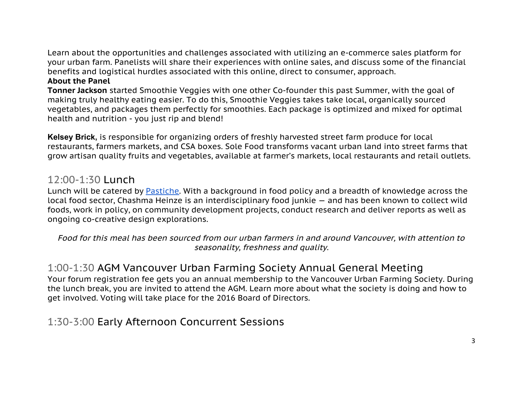Learn about the opportunities and challenges associated with utilizing an e-commerce sales platform for your urban farm. Panelists will share their experiences with online sales, and discuss some of the financial benefits and logistical hurdles associated with this online, direct to consumer, approach. **About the Panel**

**Tonner Jackson**started Smoothie Veggies with one other Co-founder this past Summer, with the goal of making truly healthy eating easier. To do this, Smoothie Veggies takes take local, organically sourced vegetables, and packages them perfectly for smoothies. Each package is optimized and mixed for optimal health and nutrition - you just rip and blend!

**Kelsey Brick,**is responsible for organizing orders of freshly harvested street farm produce for local restaurants, farmers markets, and CSA boxes. Sole Food transforms vacant urban land into street farms that grow artisan quality fruits and vegetables, available at farmer's markets, local restaurants and retail outlets.

## 12:00-1:30 Lunch

Lunch will be catered by [Pastiche.](http://pastiche.co/shared/) With a background in food policy and a breadth of knowledge across the local food sector, Chashma Heinze is an interdisciplinary food junkie — and has been known to collect wild foods, work in policy, on community development projects, conduct research and deliver reports as well as ongoing co-creative design explorations.

Food for this meal has been sourced from our urban farmers in and around Vancouver, with attention to seasonality, freshness and quality.

## 1:00-1:30 AGM Vancouver Urban Farming Society Annual General Meeting

Your forum registration fee gets you an annual membership to the Vancouver Urban Farming Society. During the lunch break, you are invited to attend the AGM. Learn more about what the society is doing and how to get involved. Voting will take place for the 2016 Board of Directors.

## 1:30-3:00 Early Afternoon Concurrent Sessions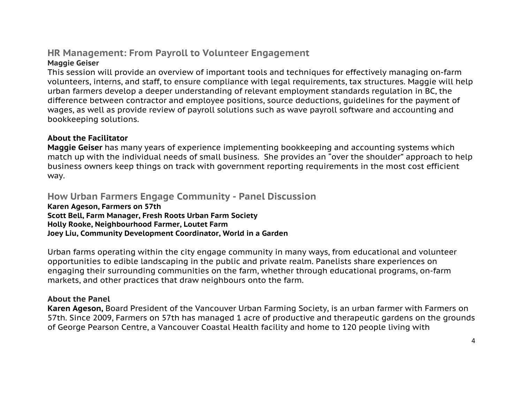## **HR Management: From Payroll to Volunteer Engagement Maggie Geiser**

This session will provide an overview of important tools and techniques for effectively managing on-farm volunteers, interns, and staff, to ensure compliance with legal requirements, tax structures. Maggie will help urban farmers develop a deeper understanding of relevant employment standards regulation in BC, the difference between contractor and employee positions, source deductions, guidelines for the payment of wages, as well as provide review of payroll solutions such as wave payroll software and accounting and bookkeeping solutions.

### **About the Facilitator**

**Maggie Geiser**has many years of experience implementing bookkeeping and accounting systems which match up with the individual needs of small business. She provides an "over the shoulder" approach to help business owners keep things on track with government reporting requirements in the most cost efficient way.

**How Urban Farmers Engage Community - Panel Discussion Karen Ageson, Farmers on 57th Scott Bell, Farm Manager, Fresh Roots Urban Farm Society Holly Rooke, Neighbourhood Farmer, Loutet Farm Joey Liu, Community Development Coordinator, World in a Garden**

Urban farms operating within the city engage community in many ways, from educational and volunteer opportunities to edible landscaping in the public and private realm. Panelists share experiences on engaging their surrounding communities on the farm, whether through educational programs, on-farm markets, and other practices that draw neighbours onto the farm.

### **About the Panel**

**Karen Ageson,** Board President of the Vancouver Urban Farming Society, is an urban farmer with [Farmers](http://farmerson57th.ca/) on [57th.](http://farmerson57th.ca/) Since 2009, Farmers on 57th has managed 1 acre of productive and therapeutic gardens on the grounds of George Pearson Centre, a Vancouver Coastal Health facility and home to 120 people living with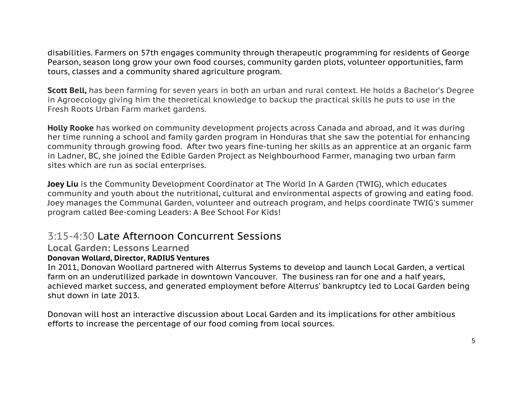disabilities. Farmers on 57th engages community through therapeutic programming for residents of George Pearson, season long grow your own food courses, community garden plots, volunteer opportunities, farm tours, classes and a community shared agriculture program.

**Scott Bell,** has been farming for seven years in both an urban and rural context. He holds a Bachelor's Degree in Agroecology giving him the theoretical knowledge to backup the practical skills he puts to use in the Fresh Roots Urban Farm market gardens.

**Holly Rooke** has worked on community development projects across Canada and abroad, and it was during her time running a school and family garden program in Honduras that she saw the potential for enhancing community through growing food. After two years fine-tuning her skills as an apprentice at an organic farm in Ladner, BC, she joined the Edible Garden Project as Neighbourhood Farmer, managing two urban farm sites which are run as social enterprises.

**Joey Liu** is the Community Development Coordinator at The World In A Garden (TWIG), which educates community and youth about the nutritional, cultural and environmental aspects of growing and eating food. Joey manages the Communal Garden, volunteer and outreach program, and helps coordinate TWIG's summer program called Bee-coming Leaders: A Bee School For Kids!

# 3:15-4:30 Late Afternoon Concurrent Sessions

## **Local Garden: Lessons Learned**

### **Donovan Wollard, Director, RADIUS Ventures**

In 2011, Donovan Woollard partnered with Alterrus Systems to develop and launch Local Garden, a vertical farm on an underutilized parkade in downtown Vancouver. The business ran for one and a half years, achieved market success, and generated employment before Alterrus' bankruptcy led to Local Garden being shut down in late 2013.

Donovan will host an interactive discussion about Local Garden and its implications for other ambitious efforts to increase the percentage of our food coming from local sources.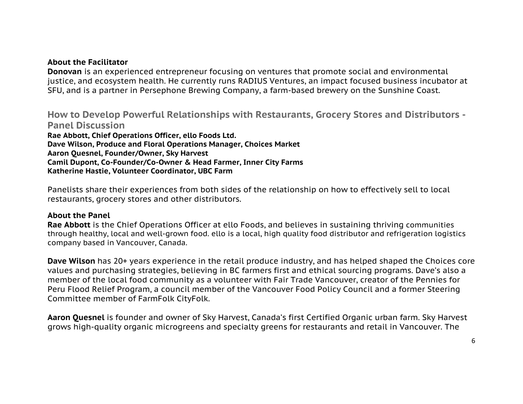#### **About the Facilitator**

**Donovan**is an experienced entrepreneur focusing on ventures that promote social and environmental justice, and ecosystem health. He currently runs RADIUS Ventures, an impact focused business incubator at SFU, and is a partner in Persephone Brewing Company, a farm-based brewery on the Sunshine Coast.

**How to Develop Powerful Relationships with Restaurants, Grocery Stores and Distributors - Panel Discussion**

**Rae Abbott, Chief Operations Officer, ello Foods Ltd. Dave Wilson, Produce and Floral Operations Manager, Choices Market Aaron Quesnel, Founder/Owner, Sky Harvest Camil Dupont, Co-Founder/Co-Owner & Head Farmer, Inner City Farms Katherine Hastie, Volunteer Coordinator, UBC Farm**

Panelists share their experiences from both sides of the relationship on how to effectively sell to local restaurants, grocery stores and other distributors.

#### **About the Panel**

**Rae Abbott** is the Chief Operations Officer at ello Foods, and believes in sustaining thriving communities through healthy, local and well-grown food. ello is a local, high quality food distributor and refrigeration logistics company based in Vancouver, Canada.

**Dave Wilson** has 20+ years experience in the retail produce industry, and has helped shaped the Choices core values and purchasing strategies, believing in BC farmers first and ethical sourcing programs. Dave's also a member of the local food community as a volunteer with Fair Trade Vancouver, creator of the Pennies for Peru Flood Relief Program, a council member of the Vancouver Food Policy Council and a former Steering Committee member of FarmFolk CityFolk.

**Aaron Quesnel** is founder and owner of Sky Harvest, Canada's first Certified Organic urban farm. Sky Harvest grows high-quality organic microgreens and specialty greens for restaurants and retail in Vancouver. The